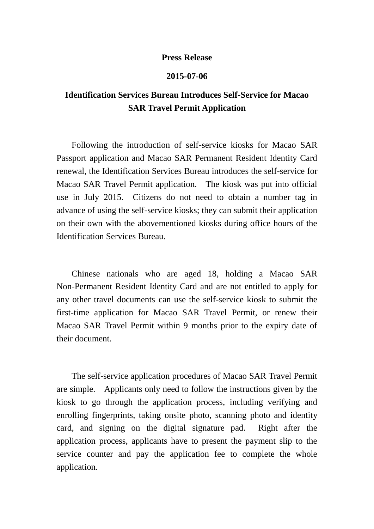## **Press Release**

## **2015-07-06**

## **Identification Services Bureau Introduces Self-Service for Macao SAR Travel Permit Application**

Following the introduction of self-service kiosks for Macao SAR Passport application and Macao SAR Permanent Resident Identity Card renewal, the Identification Services Bureau introduces the self-service for Macao SAR Travel Permit application. The kiosk was put into official use in July 2015. Citizens do not need to obtain a number tag in advance of using the self-service kiosks; they can submit their application on their own with the abovementioned kiosks during office hours of the Identification Services Bureau.

Chinese nationals who are aged 18, holding a Macao SAR Non-Permanent Resident Identity Card and are not entitled to apply for any other travel documents can use the self-service kiosk to submit the first-time application for Macao SAR Travel Permit, or renew their Macao SAR Travel Permit within 9 months prior to the expiry date of their document.

The self-service application procedures of Macao SAR Travel Permit are simple. Applicants only need to follow the instructions given by the kiosk to go through the application process, including verifying and enrolling fingerprints, taking onsite photo, scanning photo and identity card, and signing on the digital signature pad. Right after the application process, applicants have to present the payment slip to the service counter and pay the application fee to complete the whole application.